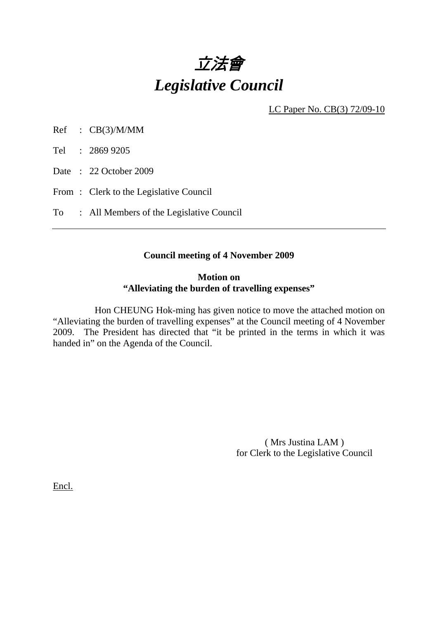

LC Paper No. CB(3) 72/09-10

Ref : CB(3)/M/MM

Tel : 2869 9205

Date: 22 October 2009

From: Clerk to the Legislative Council

To : All Members of the Legislative Council

#### **Council meeting of 4 November 2009**

#### **Motion on "Alleviating the burden of travelling expenses"**

 Hon CHEUNG Hok-ming has given notice to move the attached motion on "Alleviating the burden of travelling expenses" at the Council meeting of 4 November 2009. The President has directed that "it be printed in the terms in which it was handed in" on the Agenda of the Council.

> ( Mrs Justina LAM ) for Clerk to the Legislative Council

Encl.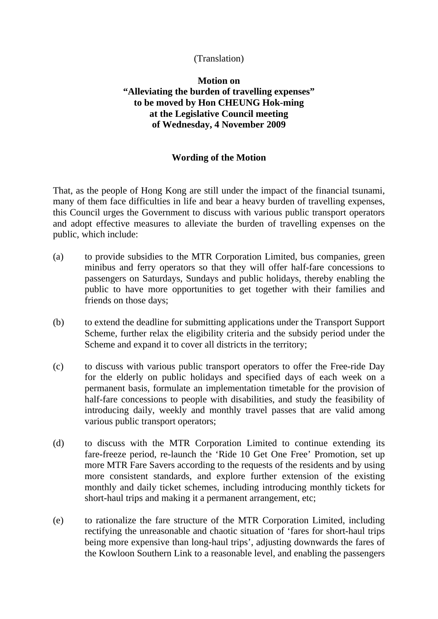## (Translation)

# **Motion on "Alleviating the burden of travelling expenses" to be moved by Hon CHEUNG Hok-ming at the Legislative Council meeting of Wednesday, 4 November 2009**

## **Wording of the Motion**

That, as the people of Hong Kong are still under the impact of the financial tsunami, many of them face difficulties in life and bear a heavy burden of travelling expenses, this Council urges the Government to discuss with various public transport operators and adopt effective measures to alleviate the burden of travelling expenses on the public, which include:

- (a) to provide subsidies to the MTR Corporation Limited, bus companies, green minibus and ferry operators so that they will offer half-fare concessions to passengers on Saturdays, Sundays and public holidays, thereby enabling the public to have more opportunities to get together with their families and friends on those days;
- (b) to extend the deadline for submitting applications under the Transport Support Scheme, further relax the eligibility criteria and the subsidy period under the Scheme and expand it to cover all districts in the territory;
- (c) to discuss with various public transport operators to offer the Free-ride Day for the elderly on public holidays and specified days of each week on a permanent basis, formulate an implementation timetable for the provision of half-fare concessions to people with disabilities, and study the feasibility of introducing daily, weekly and monthly travel passes that are valid among various public transport operators;
- (d) to discuss with the MTR Corporation Limited to continue extending its fare-freeze period, re-launch the 'Ride 10 Get One Free' Promotion, set up more MTR Fare Savers according to the requests of the residents and by using more consistent standards, and explore further extension of the existing monthly and daily ticket schemes, including introducing monthly tickets for short-haul trips and making it a permanent arrangement, etc;
- (e) to rationalize the fare structure of the MTR Corporation Limited, including rectifying the unreasonable and chaotic situation of 'fares for short-haul trips being more expensive than long-haul trips', adjusting downwards the fares of the Kowloon Southern Link to a reasonable level, and enabling the passengers